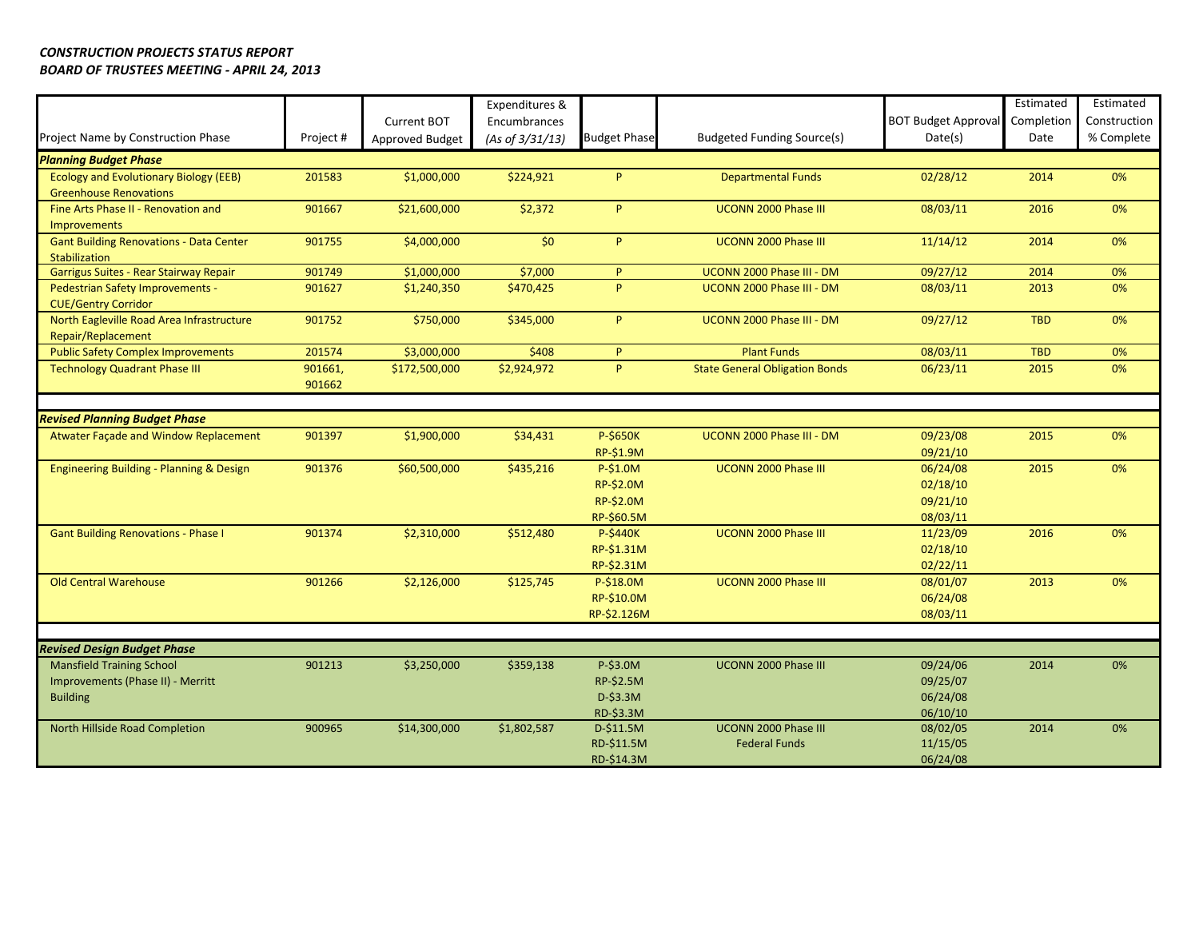|                                                |           |                 | Expenditures &  |                     |                                       |                            | Estimated  | Estimated    |
|------------------------------------------------|-----------|-----------------|-----------------|---------------------|---------------------------------------|----------------------------|------------|--------------|
|                                                |           | Current BOT     | Encumbrances    |                     |                                       | <b>BOT Budget Approval</b> | Completion | Construction |
| Project Name by Construction Phase             | Project # | Approved Budget | (As of 3/31/13) | <b>Budget Phase</b> | <b>Budgeted Funding Source(s)</b>     | Date(s)                    | Date       | % Complete   |
| <b>Planning Budget Phase</b>                   |           |                 |                 |                     |                                       |                            |            |              |
| <b>Ecology and Evolutionary Biology (EEB)</b>  | 201583    | \$1,000,000     | \$224,921       | P                   | <b>Departmental Funds</b>             | 02/28/12                   | 2014       | 0%           |
| <b>Greenhouse Renovations</b>                  |           |                 |                 |                     |                                       |                            |            |              |
| Fine Arts Phase II - Renovation and            | 901667    | \$21,600,000    | \$2,372         | P.                  | UCONN 2000 Phase III                  | 08/03/11                   | 2016       | 0%           |
| <b>Improvements</b>                            |           |                 |                 |                     |                                       |                            |            |              |
| <b>Gant Building Renovations - Data Center</b> | 901755    | \$4,000,000     | \$0             | <b>P</b>            | UCONN 2000 Phase III                  | 11/14/12                   | 2014       | 0%           |
| <b>Stabilization</b>                           |           |                 |                 |                     |                                       |                            |            |              |
| Garrigus Suites - Rear Stairway Repair         | 901749    | \$1,000,000     | \$7,000         | P                   | UCONN 2000 Phase III - DM             | 09/27/12                   | 2014       | 0%           |
| Pedestrian Safety Improvements -               | 901627    | \$1,240,350     | \$470,425       | P                   | UCONN 2000 Phase III - DM             | 08/03/11                   | 2013       | 0%           |
| <b>CUE/Gentry Corridor</b>                     |           |                 |                 |                     |                                       |                            |            |              |
| North Eagleville Road Area Infrastructure      | 901752    | \$750,000       | \$345,000       | P                   | UCONN 2000 Phase III - DM             | 09/27/12                   | <b>TBD</b> | 0%           |
| Repair/Replacement                             |           |                 |                 |                     |                                       |                            |            |              |
| <b>Public Safety Complex Improvements</b>      | 201574    | \$3,000,000     | \$408           | P                   | <b>Plant Funds</b>                    | 08/03/11                   | <b>TBD</b> | 0%           |
| <b>Technology Quadrant Phase III</b>           | 901661,   | \$172,500,000   | \$2,924,972     | P                   | <b>State General Obligation Bonds</b> | 06/23/11                   | 2015       | 0%           |
|                                                | 901662    |                 |                 |                     |                                       |                            |            |              |
|                                                |           |                 |                 |                     |                                       |                            |            |              |
| <b>Revised Planning Budget Phase</b>           |           |                 |                 |                     |                                       |                            |            |              |
| Atwater Facade and Window Replacement          | 901397    | \$1,900,000     | \$34,431        | P-\$650K            | UCONN 2000 Phase III - DM             | 09/23/08                   | 2015       | 0%           |
|                                                |           |                 |                 | <b>RP-\$1.9M</b>    |                                       | 09/21/10                   |            |              |
| Engineering Building - Planning & Design       | 901376    | \$60,500,000    | \$435,216       | P-\$1.0M            | UCONN 2000 Phase III                  | 06/24/08                   | 2015       | 0%           |
|                                                |           |                 |                 | RP-\$2.0M           |                                       | 02/18/10                   |            |              |
|                                                |           |                 |                 | RP-\$2.0M           |                                       | 09/21/10                   |            |              |
|                                                |           |                 |                 | RP-\$60.5M          |                                       | 08/03/11                   |            |              |
| <b>Gant Building Renovations - Phase I</b>     | 901374    | \$2,310,000     | \$512,480       | <b>P-\$440K</b>     | UCONN 2000 Phase III                  | 11/23/09                   | 2016       | 0%           |
|                                                |           |                 |                 | RP-\$1.31M          |                                       | 02/18/10                   |            |              |
|                                                |           |                 |                 | RP-\$2.31M          |                                       | 02/22/11                   |            |              |
| <b>Old Central Warehouse</b>                   | 901266    | \$2,126,000     | \$125,745       | P-\$18.0M           | UCONN 2000 Phase III                  | 08/01/07                   | 2013       | 0%           |
|                                                |           |                 |                 | RP-\$10.0M          |                                       | 06/24/08                   |            |              |
|                                                |           |                 |                 | RP-\$2.126M         |                                       | 08/03/11                   |            |              |
|                                                |           |                 |                 |                     |                                       |                            |            |              |
| <b>Revised Design Budget Phase</b>             |           |                 |                 |                     |                                       |                            |            |              |
| <b>Mansfield Training School</b>               | 901213    | \$3,250,000     | \$359,138       | P-\$3.0M            | <b>UCONN 2000 Phase III</b>           | 09/24/06                   | 2014       | 0%           |
| Improvements (Phase II) - Merritt              |           |                 |                 | RP-\$2.5M           |                                       | 09/25/07                   |            |              |
| <b>Building</b>                                |           |                 |                 | D-\$3.3M            |                                       | 06/24/08                   |            |              |
|                                                |           |                 |                 | RD-\$3.3M           |                                       | 06/10/10                   |            |              |
| North Hillside Road Completion                 | 900965    | \$14,300,000    | \$1,802,587     | $D-$11.5M$          | UCONN 2000 Phase III                  | 08/02/05                   | 2014       | 0%           |
|                                                |           |                 |                 | RD-\$11.5M          | <b>Federal Funds</b>                  | 11/15/05                   |            |              |
|                                                |           |                 |                 | RD-\$14.3M          |                                       | 06/24/08                   |            |              |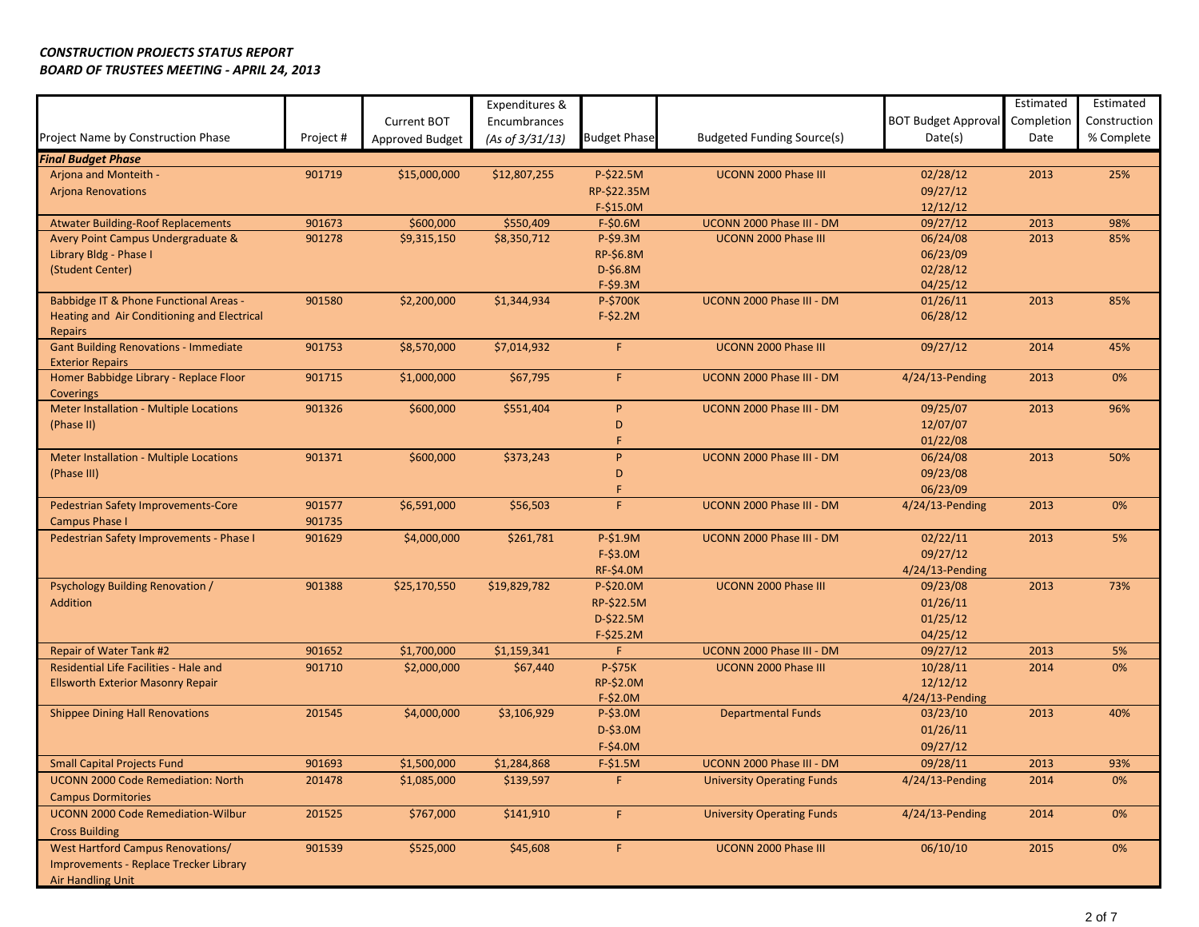|                                                                         |           | Current BOT     | Expenditures &<br>Encumbrances |                     |                                   | <b>BOT Budget Approval</b> | Estimated<br>Completion | Estimated<br>Construction |
|-------------------------------------------------------------------------|-----------|-----------------|--------------------------------|---------------------|-----------------------------------|----------------------------|-------------------------|---------------------------|
| Project Name by Construction Phase                                      | Project # | Approved Budget | (As of 3/31/13)                | <b>Budget Phase</b> | Budgeted Funding Source(s)        | Date(s)                    | Date                    | % Complete                |
| <b>Final Budget Phase</b>                                               |           |                 |                                |                     |                                   |                            |                         |                           |
| Arjona and Monteith -                                                   | 901719    | \$15,000,000    | \$12,807,255                   | P-\$22.5M           | <b>UCONN 2000 Phase III</b>       | 02/28/12                   | 2013                    | 25%                       |
| <b>Arjona Renovations</b>                                               |           |                 |                                | RP-\$22.35M         |                                   | 09/27/12                   |                         |                           |
|                                                                         |           |                 |                                | $F-$15.0M$          |                                   | 12/12/12                   |                         |                           |
| <b>Atwater Building-Roof Replacements</b>                               | 901673    | \$600,000       | \$550,409                      | F-\$0.6M            | UCONN 2000 Phase III - DM         | 09/27/12                   | 2013                    | 98%                       |
| Avery Point Campus Undergraduate &                                      | 901278    | \$9,315,150     | \$8,350,712                    | $P-S9.3M$           | <b>UCONN 2000 Phase III</b>       | 06/24/08                   | 2013                    | 85%                       |
| Library Bldg - Phase I                                                  |           |                 |                                | RP-\$6.8M           |                                   | 06/23/09                   |                         |                           |
| (Student Center)                                                        |           |                 |                                | D-\$6.8M            |                                   | 02/28/12                   |                         |                           |
|                                                                         |           |                 |                                | $F-$9.3M$           |                                   | 04/25/12                   |                         |                           |
| Babbidge IT & Phone Functional Areas -                                  | 901580    | \$2,200,000     | \$1,344,934                    | P-\$700K            | UCONN 2000 Phase III - DM         | 01/26/11                   | 2013                    | 85%                       |
| Heating and Air Conditioning and Electrical                             |           |                 |                                | $F-$2.2M$           |                                   | 06/28/12                   |                         |                           |
| <b>Repairs</b>                                                          |           |                 |                                |                     |                                   |                            |                         |                           |
| <b>Gant Building Renovations - Immediate</b><br><b>Exterior Repairs</b> | 901753    | \$8,570,000     | \$7,014,932                    | F.                  | UCONN 2000 Phase III              | 09/27/12                   | 2014                    | 45%                       |
| Homer Babbidge Library - Replace Floor                                  | 901715    | \$1,000,000     | \$67,795                       | F.                  | UCONN 2000 Phase III - DM         | 4/24/13-Pending            | 2013                    | 0%                        |
| <b>Coverings</b>                                                        |           |                 |                                |                     |                                   |                            |                         |                           |
| Meter Installation - Multiple Locations                                 | 901326    | \$600,000       | \$551,404                      | P                   | UCONN 2000 Phase III - DM         | 09/25/07                   | 2013                    | 96%                       |
| (Phase II)                                                              |           |                 |                                | D                   |                                   | 12/07/07                   |                         |                           |
|                                                                         |           |                 |                                |                     |                                   | 01/22/08                   |                         |                           |
| Meter Installation - Multiple Locations                                 | 901371    | \$600,000       | \$373,243                      | P                   | UCONN 2000 Phase III - DM         | 06/24/08                   | 2013                    | 50%                       |
| (Phase III)                                                             |           |                 |                                | D                   |                                   | 09/23/08                   |                         |                           |
|                                                                         |           |                 |                                | F                   |                                   | 06/23/09                   |                         |                           |
| Pedestrian Safety Improvements-Core                                     | 901577    | \$6,591,000     | \$56,503                       | F.                  | UCONN 2000 Phase III - DM         | 4/24/13-Pending            | 2013                    | 0%                        |
| <b>Campus Phase I</b>                                                   | 901735    |                 |                                |                     |                                   |                            |                         |                           |
| Pedestrian Safety Improvements - Phase I                                | 901629    | \$4,000,000     | \$261,781                      | P-\$1.9M            | UCONN 2000 Phase III - DM         | 02/22/11                   | 2013                    | 5%                        |
|                                                                         |           |                 |                                | $F-$3.0M$           |                                   | 09/27/12                   |                         |                           |
|                                                                         |           |                 |                                | <b>RF-\$4.0M</b>    |                                   | 4/24/13-Pending            |                         |                           |
| Psychology Building Renovation /                                        | 901388    | \$25,170,550    | \$19,829,782                   | $P-\$20.0M$         | UCONN 2000 Phase III              | 09/23/08                   | 2013                    | 73%                       |
| Addition                                                                |           |                 |                                | RP-\$22.5M          |                                   | 01/26/11                   |                         |                           |
|                                                                         |           |                 |                                | $D-$22.5M$          |                                   | 01/25/12                   |                         |                           |
|                                                                         |           |                 |                                | $F-$25.2M$          |                                   | 04/25/12                   |                         |                           |
| <b>Repair of Water Tank #2</b>                                          | 901652    | \$1,700,000     | \$1,159,341                    | F.                  | UCONN 2000 Phase III - DM         | 09/27/12                   | 2013                    | 5%                        |
| Residential Life Facilities - Hale and                                  | 901710    | \$2,000,000     | \$67,440                       | P-\$75K             | UCONN 2000 Phase III              | 10/28/11                   | 2014                    | 0%                        |
| <b>Ellsworth Exterior Masonry Repair</b>                                |           |                 |                                | RP-\$2.0M           |                                   | 12/12/12                   |                         |                           |
|                                                                         |           |                 |                                | $F-$2.0M$           |                                   | 4/24/13-Pending            |                         |                           |
| <b>Shippee Dining Hall Renovations</b>                                  | 201545    | \$4,000,000     | \$3,106,929                    | $P-\$3.0M$          | <b>Departmental Funds</b>         | 03/23/10                   | 2013                    | 40%                       |
|                                                                         |           |                 |                                | $D-$3.0M$           |                                   | 01/26/11                   |                         |                           |
|                                                                         |           |                 |                                | $F-$4.0M$           |                                   | 09/27/12                   |                         |                           |
| <b>Small Capital Projects Fund</b>                                      | 901693    | \$1,500,000     | \$1,284,868                    | $F-$1.5M$           | UCONN 2000 Phase III - DM         | 09/28/11                   | 2013                    | 93%                       |
| <b>UCONN 2000 Code Remediation: North</b>                               | 201478    | \$1,085,000     | \$139,597                      | F.                  | <b>University Operating Funds</b> | $4/24/13$ -Pending         | 2014                    | 0%                        |
| <b>Campus Dormitories</b>                                               |           |                 |                                |                     |                                   |                            |                         |                           |
| <b>UCONN 2000 Code Remediation-Wilbur</b>                               | 201525    | \$767,000       | \$141,910                      | F.                  | <b>University Operating Funds</b> | $4/24/13$ -Pending         | 2014                    | 0%                        |
| <b>Cross Building</b>                                                   |           |                 |                                |                     |                                   |                            |                         |                           |
| <b>West Hartford Campus Renovations/</b>                                | 901539    | \$525,000       | \$45,608                       | F                   | UCONN 2000 Phase III              | 06/10/10                   | 2015                    | 0%                        |
| Improvements - Replace Trecker Library                                  |           |                 |                                |                     |                                   |                            |                         |                           |
| Air Handling Unit                                                       |           |                 |                                |                     |                                   |                            |                         |                           |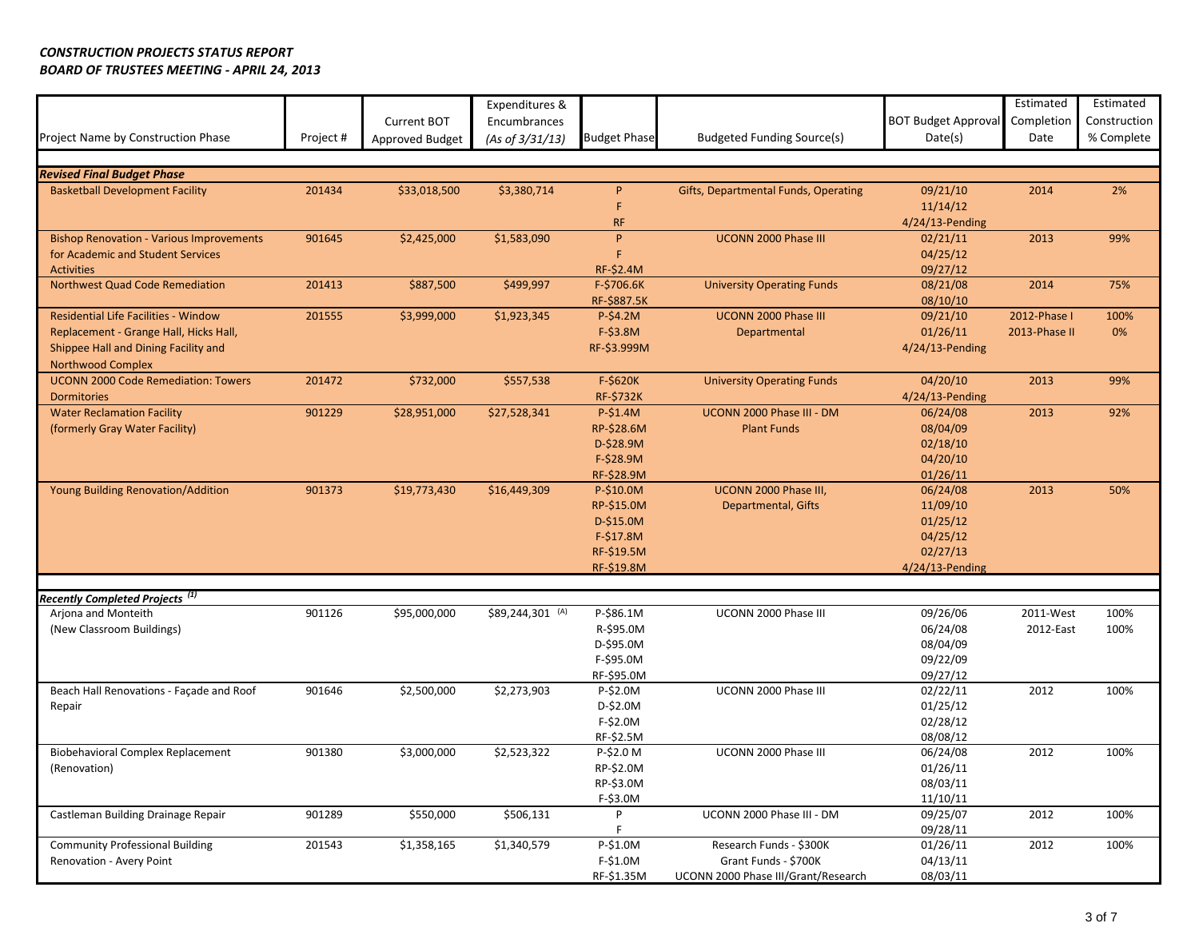|                                                   |           |                        | Expenditures &   |                     |                                      |                            | Estimated     | Estimated    |
|---------------------------------------------------|-----------|------------------------|------------------|---------------------|--------------------------------------|----------------------------|---------------|--------------|
|                                                   |           | Current BOT            | Encumbrances     |                     |                                      | <b>BOT Budget Approval</b> | Completion    | Construction |
| Project Name by Construction Phase                | Project # | <b>Approved Budget</b> | (As of 3/31/13)  | <b>Budget Phase</b> | Budgeted Funding Source(s)           | Date(s)                    | Date          | % Complete   |
|                                                   |           |                        |                  |                     |                                      |                            |               |              |
| <b>Revised Final Budget Phase</b>                 |           |                        |                  |                     |                                      |                            |               |              |
| <b>Basketball Development Facility</b>            | 201434    | \$33,018,500           | \$3,380,714      | P                   | Gifts, Departmental Funds, Operating | 09/21/10                   | 2014          | 2%           |
|                                                   |           |                        |                  | F                   |                                      | 11/14/12                   |               |              |
|                                                   |           |                        |                  | <b>RF</b>           |                                      | 4/24/13-Pending            |               |              |
| <b>Bishop Renovation - Various Improvements</b>   | 901645    | \$2,425,000            | \$1,583,090      | P.                  | UCONN 2000 Phase III                 | 02/21/11                   | 2013          | 99%          |
| for Academic and Student Services                 |           |                        |                  | F                   |                                      | 04/25/12                   |               |              |
| <b>Activities</b>                                 |           |                        |                  | RF-\$2.4M           |                                      | 09/27/12                   |               |              |
| Northwest Quad Code Remediation                   | 201413    | \$887,500              | \$499,997        | F-\$706.6K          | <b>University Operating Funds</b>    | 08/21/08                   | 2014          | 75%          |
|                                                   |           |                        |                  | RF-\$887.5K         |                                      | 08/10/10                   |               |              |
| Residential Life Facilities - Window              | 201555    | \$3,999,000            | \$1,923,345      | $P-\$4.2M$          | UCONN 2000 Phase III                 | 09/21/10                   | 2012-Phase I  | 100%         |
| Replacement - Grange Hall, Hicks Hall,            |           |                        |                  | F-\$3.8M            | Departmental                         | 01/26/11                   | 2013-Phase II | 0%           |
| Shippee Hall and Dining Facility and              |           |                        |                  | RF-\$3.999M         |                                      | 4/24/13-Pending            |               |              |
| <b>Northwood Complex</b>                          |           |                        |                  |                     |                                      |                            |               |              |
| <b>UCONN 2000 Code Remediation: Towers</b>        | 201472    | \$732,000              | \$557,538        | F-\$620K            | <b>University Operating Funds</b>    | 04/20/10                   | 2013          | 99%          |
| <b>Dormitories</b>                                |           |                        |                  | <b>RF-\$732K</b>    |                                      | $4/24/13$ -Pending         |               |              |
| <b>Water Reclamation Facility</b>                 | 901229    | \$28,951,000           | \$27,528,341     | $P-\$1.4M$          | UCONN 2000 Phase III - DM            | 06/24/08                   | 2013          | 92%          |
| (formerly Gray Water Facility)                    |           |                        |                  | RP-\$28.6M          | <b>Plant Funds</b>                   | 08/04/09                   |               |              |
|                                                   |           |                        |                  | D-\$28.9M           |                                      | 02/18/10                   |               |              |
|                                                   |           |                        |                  | $F-$28.9M$          |                                      | 04/20/10                   |               |              |
|                                                   |           |                        |                  | RF-\$28.9M          |                                      | 01/26/11                   |               |              |
| Young Building Renovation/Addition                | 901373    | \$19,773,430           | \$16,449,309     | P-\$10.0M           | UCONN 2000 Phase III,                | 06/24/08                   | 2013          | 50%          |
|                                                   |           |                        |                  | RP-\$15.0M          | Departmental, Gifts                  | 11/09/10                   |               |              |
|                                                   |           |                        |                  | D-\$15.0M           |                                      | 01/25/12                   |               |              |
|                                                   |           |                        |                  | $F-$17.8M$          |                                      | 04/25/12                   |               |              |
|                                                   |           |                        |                  | RF-\$19.5M          |                                      | 02/27/13                   |               |              |
|                                                   |           |                        |                  | RF-\$19.8M          |                                      | $4/24/13$ -Pending         |               |              |
| <b>Recently Completed Projects</b> <sup>(1)</sup> |           |                        |                  |                     |                                      |                            |               |              |
| Arjona and Monteith                               | 901126    | \$95,000,000           | \$89,244,301 (A) | P-\$86.1M           | UCONN 2000 Phase III                 | 09/26/06                   | 2011-West     | 100%         |
| (New Classroom Buildings)                         |           |                        |                  | R-\$95.0M           |                                      | 06/24/08                   | 2012-East     | 100%         |
|                                                   |           |                        |                  | D-\$95.0M           |                                      | 08/04/09                   |               |              |
|                                                   |           |                        |                  | F-\$95.0M           |                                      | 09/22/09                   |               |              |
|                                                   |           |                        |                  | RF-\$95.0M          |                                      | 09/27/12                   |               |              |
| Beach Hall Renovations - Façade and Roof          | 901646    | \$2,500,000            | \$2,273,903      | P-\$2.0M            | UCONN 2000 Phase III                 | 02/22/11                   | 2012          | 100%         |
| Repair                                            |           |                        |                  | D-\$2.0M            |                                      | 01/25/12                   |               |              |
|                                                   |           |                        |                  | F-\$2.0M            |                                      | 02/28/12                   |               |              |
|                                                   |           |                        |                  | RF-\$2.5M           |                                      | 08/08/12                   |               |              |
| <b>Biobehavioral Complex Replacement</b>          | 901380    | \$3,000,000            | \$2,523,322      | P-\$2.0 M           | UCONN 2000 Phase III                 | 06/24/08                   | 2012          | 100%         |
| (Renovation)                                      |           |                        |                  | RP-\$2.0M           |                                      | 01/26/11                   |               |              |
|                                                   |           |                        |                  | RP-\$3.0M           |                                      | 08/03/11                   |               |              |
|                                                   |           |                        |                  | F-\$3.0M            |                                      | 11/10/11                   |               |              |
| Castleman Building Drainage Repair                | 901289    | \$550,000              | \$506,131        | P                   | UCONN 2000 Phase III - DM            | 09/25/07                   | 2012          | 100%         |
|                                                   |           |                        |                  | F.                  |                                      | 09/28/11                   |               |              |
| <b>Community Professional Building</b>            | 201543    | \$1,358,165            | \$1,340,579      | P-\$1.0M            | Research Funds - \$300K              | 01/26/11                   | 2012          | 100%         |
| Renovation - Avery Point                          |           |                        |                  | F-\$1.0M            | Grant Funds - \$700K                 | 04/13/11                   |               |              |
|                                                   |           |                        |                  | RF-\$1.35M          | UCONN 2000 Phase III/Grant/Research  | 08/03/11                   |               |              |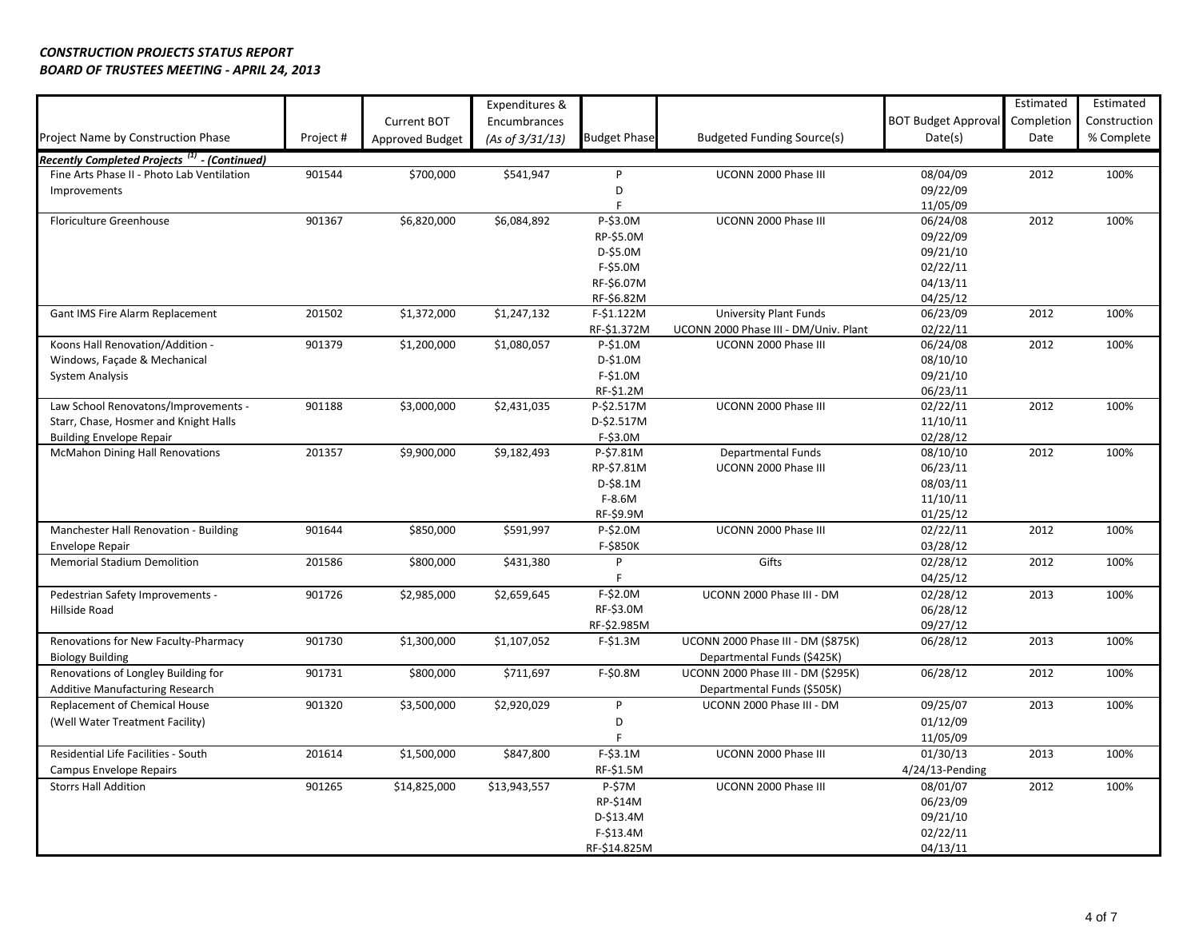|                                                          |          |                 | Expenditures &     |                     |                                                                   |                            | Estimated  | Estimated    |
|----------------------------------------------------------|----------|-----------------|--------------------|---------------------|-------------------------------------------------------------------|----------------------------|------------|--------------|
|                                                          |          | Current BOT     | Encumbrances       |                     |                                                                   | <b>BOT Budget Approval</b> | Completion | Construction |
| Project Name by Construction Phase                       | Project# | Approved Budget | (As of $3/31/13$ ) | <b>Budget Phase</b> | <b>Budgeted Funding Source(s)</b>                                 | Date(s)                    | Date       | % Complete   |
| Recently Completed Projects <sup>(1)</sup> - (Continued) |          |                 |                    |                     |                                                                   |                            |            |              |
| Fine Arts Phase II - Photo Lab Ventilation               | 901544   | \$700,000       | \$541,947          | P                   | UCONN 2000 Phase III                                              | 08/04/09                   | 2012       | 100%         |
| Improvements                                             |          |                 |                    | D                   |                                                                   | 09/22/09                   |            |              |
|                                                          |          |                 |                    | F                   |                                                                   | 11/05/09                   |            |              |
| Floriculture Greenhouse                                  | 901367   | \$6,820,000     | \$6,084,892        | P-\$3.0M            | UCONN 2000 Phase III                                              | 06/24/08                   | 2012       | 100%         |
|                                                          |          |                 |                    | RP-\$5.0M           |                                                                   | 09/22/09                   |            |              |
|                                                          |          |                 |                    | D-\$5.0M            |                                                                   | 09/21/10                   |            |              |
|                                                          |          |                 |                    | $F-$5.0M$           |                                                                   | 02/22/11                   |            |              |
|                                                          |          |                 |                    | RF-\$6.07M          |                                                                   | 04/13/11                   |            |              |
|                                                          |          |                 |                    | RF-\$6.82M          |                                                                   | 04/25/12                   |            |              |
| Gant IMS Fire Alarm Replacement                          | 201502   | \$1,372,000     | \$1,247,132        | F-\$1.122M          | <b>University Plant Funds</b>                                     | 06/23/09                   | 2012       | 100%         |
|                                                          |          |                 |                    | RF-\$1.372M         | UCONN 2000 Phase III - DM/Univ. Plant                             | 02/22/11                   |            |              |
| Koons Hall Renovation/Addition -                         | 901379   | \$1,200,000     | \$1,080,057        | P-\$1.0M            | UCONN 2000 Phase III                                              | 06/24/08                   | 2012       | 100%         |
| Windows, Façade & Mechanical                             |          |                 |                    | D-\$1.0M            |                                                                   | 08/10/10                   |            |              |
| <b>System Analysis</b>                                   |          |                 |                    | F-\$1.0M            |                                                                   | 09/21/10                   |            |              |
|                                                          |          |                 |                    | RF-\$1.2M           |                                                                   | 06/23/11                   |            |              |
| Law School Renovatons/Improvements -                     | 901188   | \$3,000,000     | \$2,431,035        | P-\$2.517M          | UCONN 2000 Phase III                                              | 02/22/11                   | 2012       | 100%         |
| Starr, Chase, Hosmer and Knight Halls                    |          |                 |                    | D-\$2.517M          |                                                                   | 11/10/11                   |            |              |
| <b>Building Envelope Repair</b>                          |          |                 |                    | $F-$3.0M$           |                                                                   | 02/28/12                   |            |              |
| <b>McMahon Dining Hall Renovations</b>                   | 201357   | \$9,900,000     | \$9,182,493        | P-\$7.81M           | <b>Departmental Funds</b>                                         | 08/10/10                   | 2012       | 100%         |
|                                                          |          |                 |                    | RP-\$7.81M          | UCONN 2000 Phase III                                              | 06/23/11                   |            |              |
|                                                          |          |                 |                    | D-\$8.1M            |                                                                   | 08/03/11                   |            |              |
|                                                          |          |                 |                    | $F-8.6M$            |                                                                   | 11/10/11                   |            |              |
|                                                          |          |                 |                    | RF-\$9.9M           |                                                                   | 01/25/12                   |            |              |
| Manchester Hall Renovation - Building                    | 901644   | \$850,000       | \$591,997          | P-\$2.0M            | UCONN 2000 Phase III                                              | 02/22/11                   | 2012       | 100%         |
| Envelope Repair                                          |          |                 |                    | F-\$850K            |                                                                   | 03/28/12                   |            |              |
| <b>Memorial Stadium Demolition</b>                       | 201586   | \$800,000       | \$431,380          | P                   | Gifts                                                             | 02/28/12                   | 2012       | 100%         |
|                                                          |          |                 |                    |                     |                                                                   | 04/25/12                   |            |              |
| Pedestrian Safety Improvements -                         | 901726   | \$2,985,000     | \$2,659,645        | F-\$2.0M            | UCONN 2000 Phase III - DM                                         | 02/28/12                   | 2013       | 100%         |
| Hillside Road                                            |          |                 |                    | RF-\$3.0M           |                                                                   | 06/28/12                   |            |              |
|                                                          |          |                 | \$1,107,052        | RF-\$2.985M         |                                                                   | 09/27/12                   |            |              |
| Renovations for New Faculty-Pharmacy                     | 901730   | \$1,300,000     |                    | $F-$1.3M$           | UCONN 2000 Phase III - DM (\$875K)                                | 06/28/12                   | 2013       | 100%         |
| <b>Biology Building</b>                                  | 901731   |                 |                    |                     | Departmental Funds (\$425K)<br>UCONN 2000 Phase III - DM (\$295K) | 06/28/12                   | 2012       | 100%         |
| Renovations of Longley Building for                      |          | \$800,000       | \$711,697          | F-\$0.8M            |                                                                   |                            |            |              |
| <b>Additive Manufacturing Research</b>                   |          |                 |                    | P.                  | Departmental Funds (\$505K)<br>UCONN 2000 Phase III - DM          |                            |            |              |
| Replacement of Chemical House                            | 901320   | \$3,500,000     | \$2,920,029        |                     |                                                                   | 09/25/07                   | 2013       | 100%         |
| (Well Water Treatment Facility)                          |          |                 |                    | D                   |                                                                   | 01/12/09                   |            |              |
|                                                          |          |                 |                    |                     |                                                                   | 11/05/09                   |            |              |
| Residential Life Facilities - South                      | 201614   | \$1,500,000     | \$847,800          | $F-$3.1M$           | UCONN 2000 Phase III                                              | 01/30/13                   | 2013       | 100%         |
| Campus Envelope Repairs                                  |          |                 |                    | RF-\$1.5M           |                                                                   | $4/24/13$ -Pending         |            |              |
| <b>Storrs Hall Addition</b>                              | 901265   | \$14,825,000    | \$13,943,557       | P-\$7M              | UCONN 2000 Phase III                                              | 08/01/07                   | 2012       | 100%         |
|                                                          |          |                 |                    | RP-\$14M            |                                                                   | 06/23/09                   |            |              |
|                                                          |          |                 |                    | D-\$13.4M           |                                                                   | 09/21/10                   |            |              |
|                                                          |          |                 |                    | $F-$13.4M$          |                                                                   | 02/22/11                   |            |              |
|                                                          |          |                 |                    | RF-\$14.825M        |                                                                   | 04/13/11                   |            |              |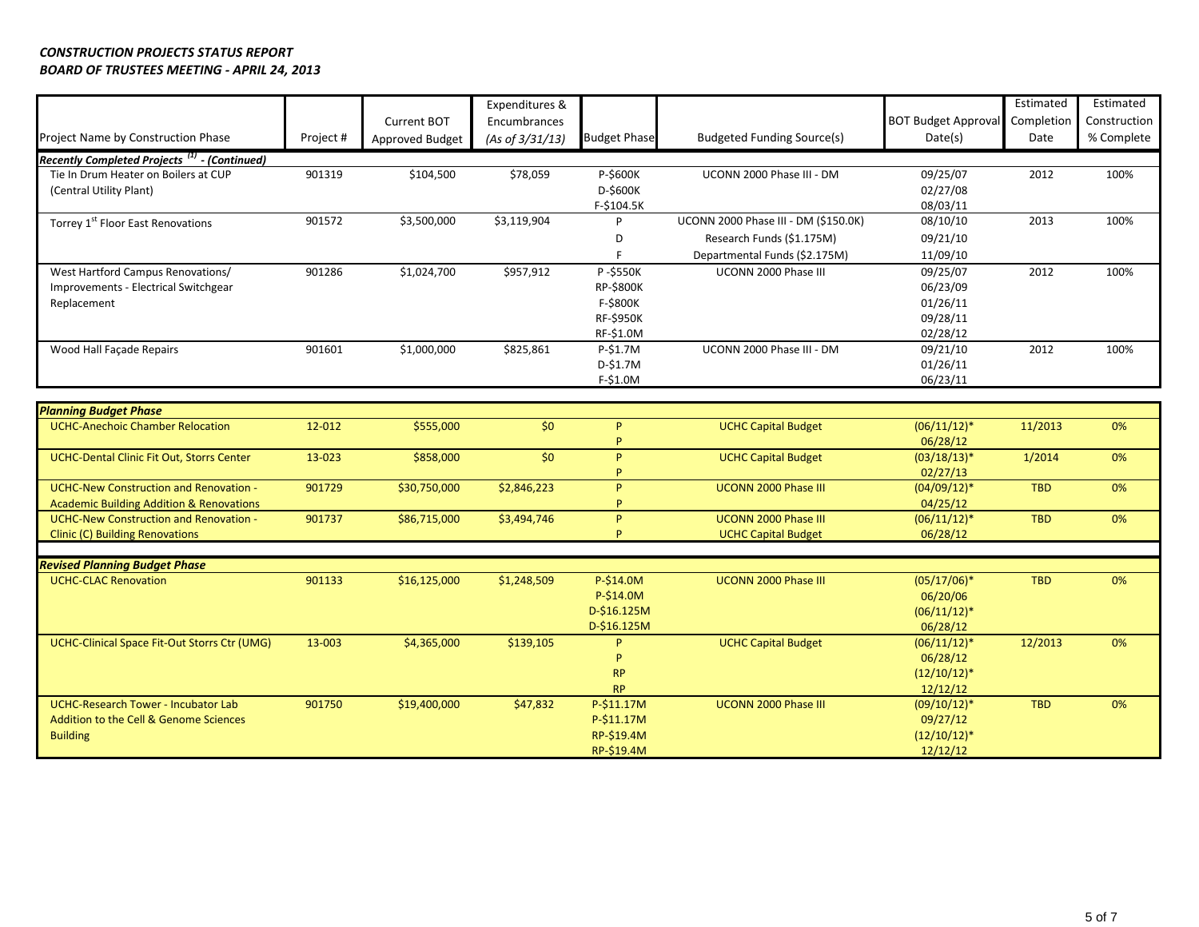|                                                                     |           |                 | Expenditures &  |                     |                                      |                            | Estimated  | Estimated    |
|---------------------------------------------------------------------|-----------|-----------------|-----------------|---------------------|--------------------------------------|----------------------------|------------|--------------|
|                                                                     |           | Current BOT     | Encumbrances    |                     |                                      | <b>BOT Budget Approval</b> | Completion | Construction |
| Project Name by Construction Phase                                  | Project # | Approved Budget | (As of 3/31/13) | <b>Budget Phase</b> | <b>Budgeted Funding Source(s)</b>    | Date(s)                    | Date       | % Complete   |
| Recently Completed Projects <sup>(1)</sup> - (Continued)            |           |                 |                 |                     |                                      |                            |            |              |
| Tie In Drum Heater on Boilers at CUP                                | 901319    | \$104,500       | \$78,059        | P-\$600K            | UCONN 2000 Phase III - DM            | 09/25/07                   | 2012       | 100%         |
| (Central Utility Plant)                                             |           |                 |                 | D-\$600K            |                                      | 02/27/08                   |            |              |
|                                                                     |           |                 |                 | F-\$104.5K          |                                      | 08/03/11                   |            |              |
| Torrey 1 <sup>st</sup> Floor East Renovations                       | 901572    | \$3,500,000     | \$3,119,904     | P                   | UCONN 2000 Phase III - DM (\$150.0K) | 08/10/10                   | 2013       | 100%         |
|                                                                     |           |                 |                 | D                   | Research Funds (\$1.175M)            | 09/21/10                   |            |              |
|                                                                     |           |                 |                 | F.                  | Departmental Funds (\$2.175M)        | 11/09/10                   |            |              |
| West Hartford Campus Renovations/                                   | 901286    | \$1,024,700     | \$957,912       | P-\$550K            | UCONN 2000 Phase III                 | 09/25/07                   | 2012       | 100%         |
| Improvements - Electrical Switchgear                                |           |                 |                 | <b>RP-\$800K</b>    |                                      | 06/23/09                   |            |              |
| Replacement                                                         |           |                 |                 | F-\$800K            |                                      | 01/26/11                   |            |              |
|                                                                     |           |                 |                 | <b>RF-\$950K</b>    |                                      | 09/28/11                   |            |              |
|                                                                     |           |                 |                 | RF-\$1.0M           |                                      | 02/28/12                   |            |              |
| Wood Hall Façade Repairs                                            | 901601    | \$1,000,000     | \$825,861       | P-\$1.7M            | UCONN 2000 Phase III - DM            | 09/21/10                   | 2012       | 100%         |
|                                                                     |           |                 |                 | D-\$1.7M            |                                      | 01/26/11                   |            |              |
|                                                                     |           |                 |                 | F-\$1.0M            |                                      | 06/23/11                   |            |              |
| <b>Planning Budget Phase</b>                                        |           |                 |                 |                     |                                      |                            |            |              |
| <b>UCHC-Anechoic Chamber Relocation</b>                             | 12-012    | \$555,000       | \$0             | P.                  | <b>UCHC Capital Budget</b>           | $(06/11/12)^*$             | 11/2013    | 0%           |
|                                                                     |           |                 |                 | P.                  |                                      | 06/28/12                   |            |              |
| <b>UCHC-Dental Clinic Fit Out, Storrs Center</b>                    | 13-023    | \$858,000       | \$0             | P.                  | <b>UCHC Capital Budget</b>           | $(03/18/13)*$              | 1/2014     | 0%           |
|                                                                     |           |                 |                 | Þ                   |                                      | 02/27/13                   |            |              |
| <b>UCHC-New Construction and Renovation -</b>                       | 901729    | \$30,750,000    | \$2,846,223     | P.                  | UCONN 2000 Phase III                 | $(04/09/12)*$              | <b>TBD</b> | 0%           |
| <b>Academic Building Addition &amp; Renovations</b>                 |           |                 |                 | <b>p</b>            |                                      | 04/25/12                   |            |              |
| <b>UCHC-New Construction and Renovation -</b>                       | 901737    | \$86,715,000    | \$3,494,746     | P.                  | UCONN 2000 Phase III                 | $(06/11/12)*$              | <b>TBD</b> | 0%           |
| <b>Clinic (C) Building Renovations</b>                              |           |                 |                 | P                   | <b>UCHC Capital Budget</b>           | 06/28/12                   |            |              |
|                                                                     |           |                 |                 |                     |                                      |                            |            |              |
| <b>Revised Planning Budget Phase</b><br><b>UCHC-CLAC Renovation</b> | 901133    | \$16,125,000    | \$1,248,509     | P-\$14.0M           | <b>UCONN 2000 Phase III</b>          | $(05/17/06)*$              | <b>TBD</b> | 0%           |
|                                                                     |           |                 |                 | P-\$14.0M           |                                      | 06/20/06                   |            |              |
|                                                                     |           |                 |                 | D-\$16.125M         |                                      | $(06/11/12)*$              |            |              |
|                                                                     |           |                 |                 | D-\$16.125M         |                                      | 06/28/12                   |            |              |
| UCHC-Clinical Space Fit-Out Storrs Ctr (UMG)                        | 13-003    | \$4,365,000     | \$139,105       | P.                  | <b>UCHC Capital Budget</b>           | $(06/11/12)*$              | 12/2013    | 0%           |
|                                                                     |           |                 |                 | p                   |                                      | 06/28/12                   |            |              |
|                                                                     |           |                 |                 | RP                  |                                      | $(12/10/12)^*$             |            |              |
|                                                                     |           |                 |                 | <b>RP</b>           |                                      | 12/12/12                   |            |              |
| <b>UCHC-Research Tower - Incubator Lab</b>                          | 901750    | \$19,400,000    | \$47,832        | P-\$11.17M          | UCONN 2000 Phase III                 | $(09/10/12)*$              | <b>TBD</b> | 0%           |
| Addition to the Cell & Genome Sciences                              |           |                 |                 | P-\$11.17M          |                                      | 09/27/12                   |            |              |
| <b>Building</b>                                                     |           |                 |                 | RP-\$19.4M          |                                      | $(12/10/12)^*$             |            |              |
|                                                                     |           |                 |                 | RP-\$19.4M          |                                      | 12/12/12                   |            |              |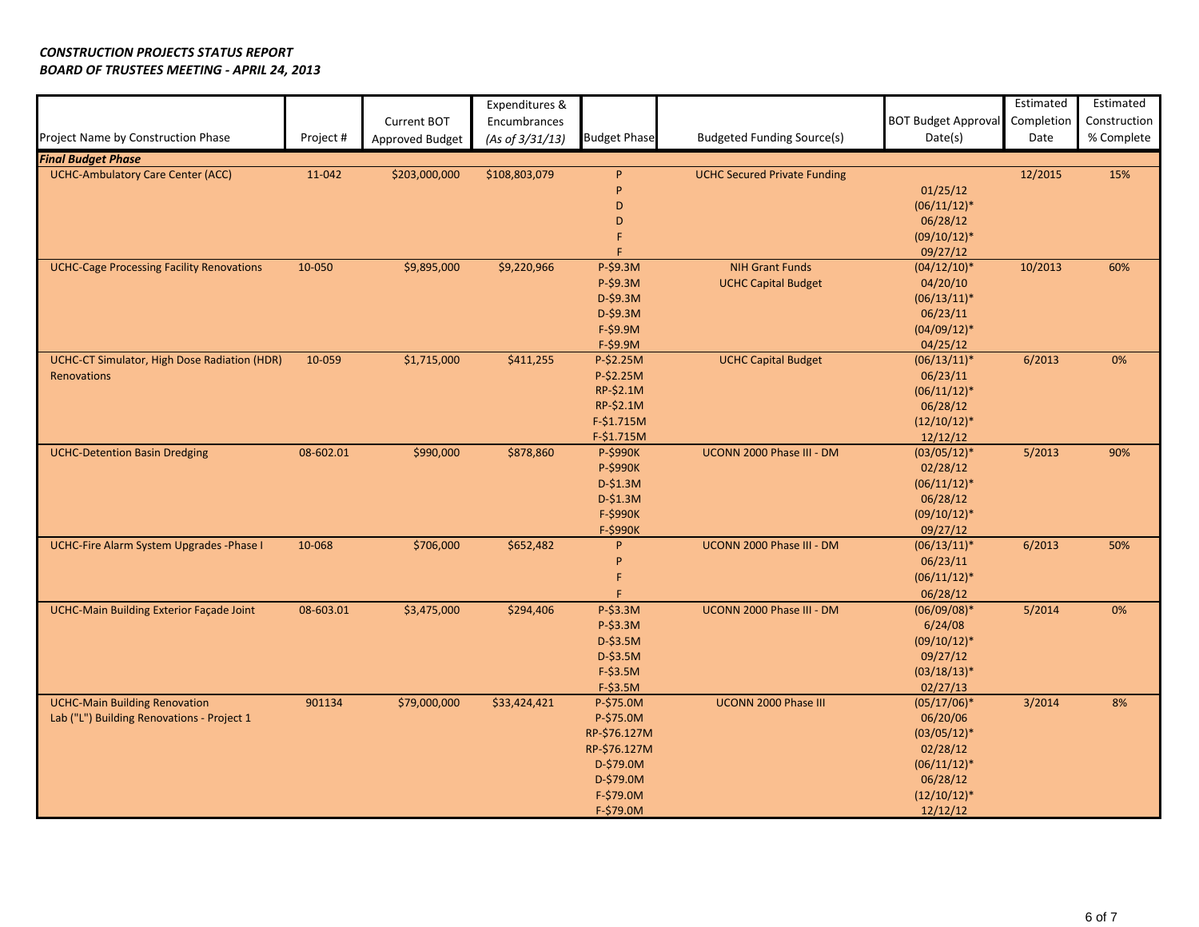|                                                  |           |                 | Expenditures &  |                     |                                     |                            | Estimated  | Estimated    |
|--------------------------------------------------|-----------|-----------------|-----------------|---------------------|-------------------------------------|----------------------------|------------|--------------|
|                                                  |           | Current BOT     | Encumbrances    |                     |                                     | <b>BOT Budget Approval</b> | Completion | Construction |
| Project Name by Construction Phase               | Project # | Approved Budget | (As of 3/31/13) | <b>Budget Phase</b> | <b>Budgeted Funding Source(s)</b>   | Date(s)                    | Date       | % Complete   |
| <b>Final Budget Phase</b>                        |           |                 |                 |                     |                                     |                            |            |              |
| <b>UCHC-Ambulatory Care Center (ACC)</b>         | 11-042    | \$203,000,000   | \$108,803,079   | P                   | <b>UCHC Secured Private Funding</b> |                            | 12/2015    | 15%          |
|                                                  |           |                 |                 | P                   |                                     | 01/25/12                   |            |              |
|                                                  |           |                 |                 | D                   |                                     | $(06/11/12)^*$             |            |              |
|                                                  |           |                 |                 | D                   |                                     | 06/28/12                   |            |              |
|                                                  |           |                 |                 | F                   |                                     | $(09/10/12)*$              |            |              |
|                                                  |           |                 |                 | F                   |                                     | 09/27/12                   |            |              |
| <b>UCHC-Cage Processing Facility Renovations</b> | 10-050    | \$9,895,000     | \$9,220,966     | P-\$9.3M            | <b>NIH Grant Funds</b>              | $(04/12/10)*$              | 10/2013    | 60%          |
|                                                  |           |                 |                 | P-\$9.3M            | <b>UCHC Capital Budget</b>          | 04/20/10                   |            |              |
|                                                  |           |                 |                 | D-\$9.3M            |                                     | $(06/13/11)^*$             |            |              |
|                                                  |           |                 |                 | D-\$9.3M            |                                     | 06/23/11                   |            |              |
|                                                  |           |                 |                 | $F-$9.9M$           |                                     | $(04/09/12)*$              |            |              |
|                                                  |           |                 |                 | $F-$9.9M$           |                                     | 04/25/12                   |            |              |
| UCHC-CT Simulator, High Dose Radiation (HDR)     | 10-059    | \$1,715,000     | \$411,255       | P-\$2.25M           | <b>UCHC Capital Budget</b>          | $(06/13/11)^*$             | 6/2013     | 0%           |
| Renovations                                      |           |                 |                 | P-\$2.25M           |                                     | 06/23/11                   |            |              |
|                                                  |           |                 |                 | RP-\$2.1M           |                                     | $(06/11/12)^*$             |            |              |
|                                                  |           |                 |                 | RP-\$2.1M           |                                     | 06/28/12                   |            |              |
|                                                  |           |                 |                 | F-\$1.715M          |                                     | $(12/10/12)^*$             |            |              |
|                                                  |           |                 |                 | $F-$1.715M$         |                                     | 12/12/12                   |            |              |
| <b>UCHC-Detention Basin Dredging</b>             | 08-602.01 | \$990,000       | \$878,860       | P-\$990K            | UCONN 2000 Phase III - DM           | $(03/05/12)*$              | 5/2013     | 90%          |
|                                                  |           |                 |                 | P-\$990K            |                                     | 02/28/12                   |            |              |
|                                                  |           |                 |                 | $D-$1.3M$           |                                     | $(06/11/12)*$              |            |              |
|                                                  |           |                 |                 | $D-\$1.3M$          |                                     | 06/28/12                   |            |              |
|                                                  |           |                 |                 | F-\$990K            |                                     | $(09/10/12)*$              |            |              |
|                                                  |           |                 |                 | F-\$990K            |                                     | 09/27/12                   |            |              |
| UCHC-Fire Alarm System Upgrades -Phase I         | 10-068    | \$706,000       | \$652,482       | P.                  | UCONN 2000 Phase III - DM           | $(06/13/11)^*$             | 6/2013     | 50%          |
|                                                  |           |                 |                 | P                   |                                     | 06/23/11                   |            |              |
|                                                  |           |                 |                 | F                   |                                     | $(06/11/12)^*$             |            |              |
|                                                  |           |                 |                 | F.                  |                                     | 06/28/12                   |            |              |
| <b>UCHC-Main Building Exterior Façade Joint</b>  | 08-603.01 | \$3,475,000     | \$294,406       | P-\$3.3M            | UCONN 2000 Phase III - DM           | $(06/09/08)*$              | 5/2014     | 0%           |
|                                                  |           |                 |                 | P-\$3.3M            |                                     | 6/24/08                    |            |              |
|                                                  |           |                 |                 | $D-$3.5M$           |                                     | $(09/10/12)*$              |            |              |
|                                                  |           |                 |                 | D-\$3.5M            |                                     | 09/27/12                   |            |              |
|                                                  |           |                 |                 | $F-$3.5M$           |                                     | $(03/18/13)*$              |            |              |
|                                                  |           |                 |                 | F-\$3.5M            |                                     | 02/27/13                   |            |              |
| <b>UCHC-Main Building Renovation</b>             | 901134    | \$79,000,000    | \$33,424,421    | P-\$75.0M           | UCONN 2000 Phase III                | $(05/17/06)*$              | 3/2014     | 8%           |
| Lab ("L") Building Renovations - Project 1       |           |                 |                 | P-\$75.0M           |                                     | 06/20/06                   |            |              |
|                                                  |           |                 |                 | RP-\$76.127M        |                                     | $(03/05/12)*$              |            |              |
|                                                  |           |                 |                 | RP-\$76.127M        |                                     | 02/28/12                   |            |              |
|                                                  |           |                 |                 | D-\$79.0M           |                                     | $(06/11/12)^*$             |            |              |
|                                                  |           |                 |                 | D-\$79.0M           |                                     | 06/28/12                   |            |              |
|                                                  |           |                 |                 | F-\$79.0M           |                                     | $(12/10/12)*$              |            |              |
|                                                  |           |                 |                 | F-\$79.0M           |                                     | 12/12/12                   |            |              |